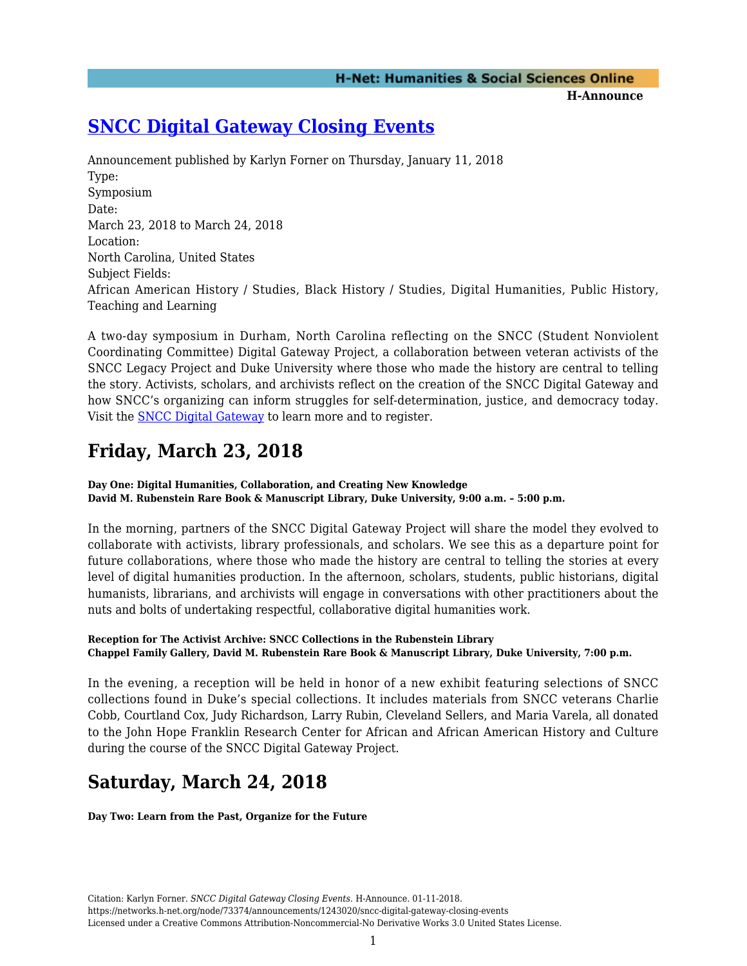### **H-Announce**

### **[SNCC Digital Gateway Closing Events](https://networks.h-net.org/node/73374/announcements/1243020/sncc-digital-gateway-closing-events)**

Announcement published by Karlyn Forner on Thursday, January 11, 2018 Type: Symposium Date: March 23, 2018 to March 24, 2018 Location: North Carolina, United States Subject Fields: African American History / Studies, Black History / Studies, Digital Humanities, Public History, Teaching and Learning

A two-day symposium in Durham, North Carolina reflecting on the SNCC (Student Nonviolent Coordinating Committee) Digital Gateway Project, a collaboration between veteran activists of the SNCC Legacy Project and Duke University where those who made the history are central to telling the story. Activists, scholars, and archivists reflect on the creation of the SNCC Digital Gateway and how SNCC's organizing can inform struggles for self-determination, justice, and democracy today. Visit the [SNCC Digital Gateway](https://snccdigital.org/conference) to learn more and to register.

## **Friday, March 23, 2018**

**Day One: Digital Humanities, Collaboration, and Creating New Knowledge David M. Rubenstein Rare Book & Manuscript Library, Duke University, 9:00 a.m. – 5:00 p.m.**

In the morning, partners of the SNCC Digital Gateway Project will share the model they evolved to collaborate with activists, library professionals, and scholars. We see this as a departure point for future collaborations, where those who made the history are central to telling the stories at every level of digital humanities production. In the afternoon, scholars, students, public historians, digital humanists, librarians, and archivists will engage in conversations with other practitioners about the nuts and bolts of undertaking respectful, collaborative digital humanities work.

### **Reception for The Activist Archive: SNCC Collections in the Rubenstein Library Chappel Family Gallery, David M. Rubenstein Rare Book & Manuscript Library, Duke University, 7:00 p.m.**

In the evening, a reception will be held in honor of a new exhibit featuring selections of SNCC collections found in Duke's special collections. It includes materials from SNCC veterans Charlie Cobb, Courtland Cox, Judy Richardson, Larry Rubin, Cleveland Sellers, and Maria Varela, all donated to the John Hope Franklin Research Center for African and African American History and Culture during the course of the SNCC Digital Gateway Project.

# **Saturday, March 24, 2018**

**Day Two: Learn from the Past, Organize for the Future**